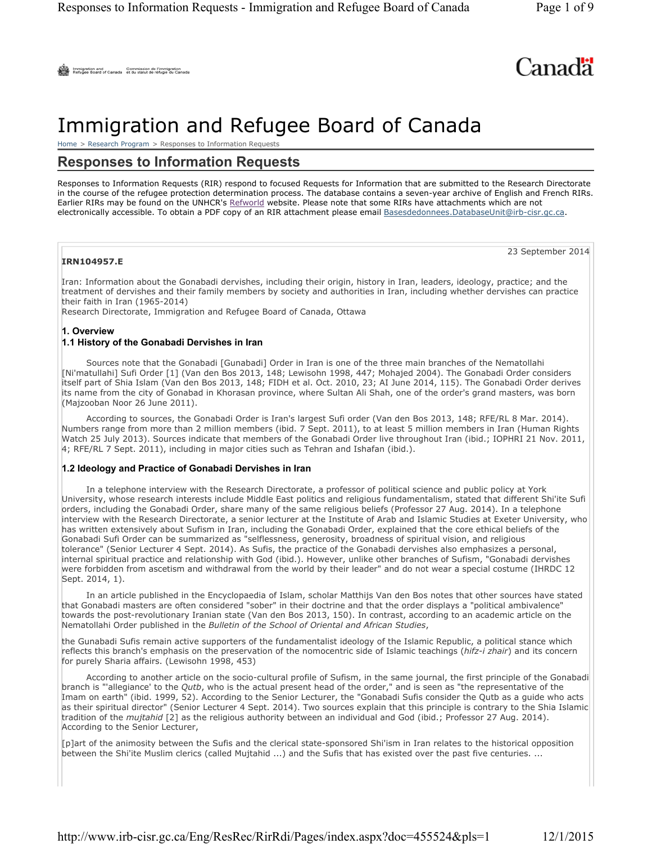# Canada

## Immigration and Refugee Board of Canada

Home > Research Program > Responses to Information Requests

## **Responses to Information Requests**

Responses to Information Requests (RIR) respond to focused Requests for Information that are submitted to the Research Directorate in the course of the refugee protection determination process. The database contains a seven-year archive of English and French RIRs. Earlier RIRs may be found on the UNHCR's Refworld website. Please note that some RIRs have attachments which are not electronically accessible. To obtain a PDF copy of an RIR attachment please email Basesdedonnees.DatabaseUnit@irb-cisr.gc.ca.

#### **IRN104957.E**

23 September 2014

Iran: Information about the Gonabadi dervishes, including their origin, history in Iran, leaders, ideology, practice; and the treatment of dervishes and their family members by society and authorities in Iran, including whether dervishes can practice their faith in Iran (1965-2014)

Research Directorate, Immigration and Refugee Board of Canada, Ottawa

#### **1. Overview 1.1 History of the Gonabadi Dervishes in Iran**

Sources note that the Gonabadi [Gunabadi] Order in Iran is one of the three main branches of the Nematollahi [Ni'matullahi] Sufi Order [1] (Van den Bos 2013, 148; Lewisohn 1998, 447; Mohajed 2004). The Gonabadi Order considers itself part of Shia Islam (Van den Bos 2013, 148; FIDH et al. Oct. 2010, 23; AI June 2014, 115). The Gonabadi Order derives its name from the city of Gonabad in Khorasan province, where Sultan Ali Shah, one of the order's grand masters, was born (Majzooban Noor 26 June 2011).

According to sources, the Gonabadi Order is Iran's largest Sufi order (Van den Bos 2013, 148; RFE/RL 8 Mar. 2014). Numbers range from more than 2 million members (ibid. 7 Sept. 2011), to at least 5 million members in Iran (Human Rights Watch 25 July 2013). Sources indicate that members of the Gonabadi Order live throughout Iran (ibid.; IOPHRI 21 Nov. 2011, 4; RFE/RL 7 Sept. 2011), including in major cities such as Tehran and Ishafan (ibid.).

#### **1.2 Ideology and Practice of Gonabadi Dervishes in Iran**

In a telephone interview with the Research Directorate, a professor of political science and public policy at York University, whose research interests include Middle East politics and religious fundamentalism, stated that different Shi'ite Sufi orders, including the Gonabadi Order, share many of the same religious beliefs (Professor 27 Aug. 2014). In a telephone interview with the Research Directorate, a senior lecturer at the Institute of Arab and Islamic Studies at Exeter University, who has written extensively about Sufism in Iran, including the Gonabadi Order, explained that the core ethical beliefs of the Gonabadi Sufi Order can be summarized as "selflessness, generosity, broadness of spiritual vision, and religious tolerance" (Senior Lecturer 4 Sept. 2014). As Sufis, the practice of the Gonabadi dervishes also emphasizes a personal, internal spiritual practice and relationship with God (ibid.). However, unlike other branches of Sufism, "Gonabadi dervishes were forbidden from ascetism and withdrawal from the world by their leader" and do not wear a special costume (IHRDC 12 Sept. 2014, 1).

In an article published in the Encyclopaedia of Islam, scholar Matthijs Van den Bos notes that other sources have stated that Gonabadi masters are often considered "sober" in their doctrine and that the order displays a "political ambivalence" towards the post-revolutionary Iranian state (Van den Bos 2013, 150). In contrast, according to an academic article on the Nematollahi Order published in the *Bulletin of the School of Oriental and African Studies*,

the Gunabadi Sufis remain active supporters of the fundamentalist ideology of the Islamic Republic, a political stance which reflects this branch's emphasis on the preservation of the nomocentric side of Islamic teachings (*hifz-i zhair*) and its concern for purely Sharia affairs. (Lewisohn 1998, 453)

According to another article on the socio-cultural profile of Sufism, in the same journal, the first principle of the Gonabadi branch is "'allegiance' to the *Qutb*, who is the actual present head of the order," and is seen as "the representative of the Imam on earth" (ibid. 1999, 52). According to the Senior Lecturer, the "Gonabadi Sufis consider the Qutb as a guide who acts as their spiritual director" (Senior Lecturer 4 Sept. 2014). Two sources explain that this principle is contrary to the Shia Islamic tradition of the *mujtahid* [2] as the religious authority between an individual and God (ibid.; Professor 27 Aug. 2014). According to the Senior Lecturer,

[p]art of the animosity between the Sufis and the clerical state-sponsored Shi'ism in Iran relates to the historical opposition between the Shi'ite Muslim clerics (called Mujtahid ...) and the Sufis that has existed over the past five centuries. ...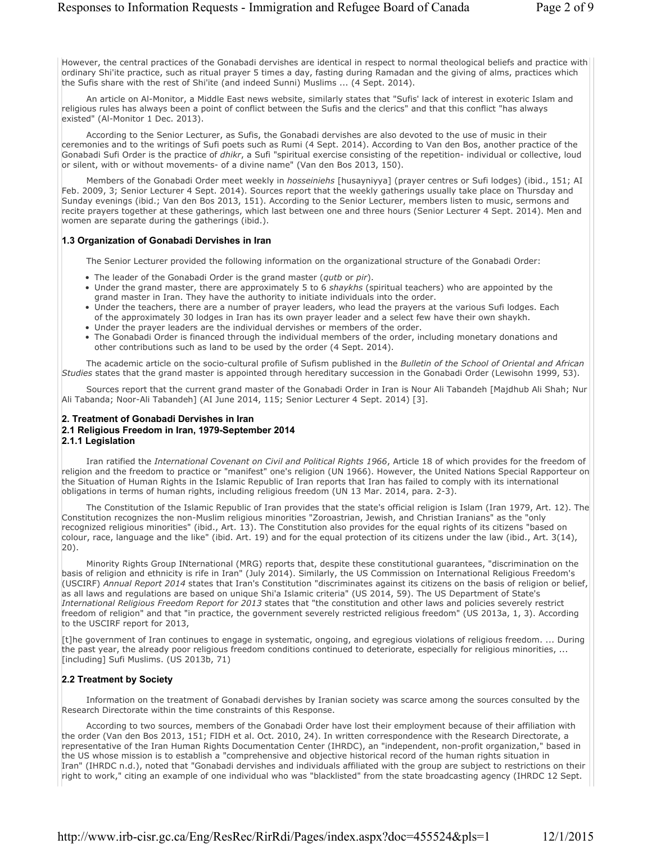However, the central practices of the Gonabadi dervishes are identical in respect to normal theological beliefs and practice with ordinary Shi'ite practice, such as ritual prayer 5 times a day, fasting during Ramadan and the giving of alms, practices which the Sufis share with the rest of Shi'ite (and indeed Sunni) Muslims ... (4 Sept. 2014).

An article on Al-Monitor, a Middle East news website, similarly states that "Sufis' lack of interest in exoteric Islam and religious rules has always been a point of conflict between the Sufis and the clerics" and that this conflict "has always existed" (Al-Monitor 1 Dec. 2013).

According to the Senior Lecturer, as Sufis, the Gonabadi dervishes are also devoted to the use of music in their ceremonies and to the writings of Sufi poets such as Rumi (4 Sept. 2014). According to Van den Bos, another practice of the Gonabadi Sufi Order is the practice of *dhikr*, a Sufi "spiritual exercise consisting of the repetition- individual or collective, loud or silent, with or without movements- of a divine name" (Van den Bos 2013, 150).

Members of the Gonabadi Order meet weekly in *hosseiniehs* [husayniyya] (prayer centres or Sufi lodges) (ibid., 151; AI Feb. 2009, 3; Senior Lecturer 4 Sept. 2014). Sources report that the weekly gatherings usually take place on Thursday and Sunday evenings (ibid.; Van den Bos 2013, 151). According to the Senior Lecturer, members listen to music, sermons and recite prayers together at these gatherings, which last between one and three hours (Senior Lecturer 4 Sept. 2014). Men and women are separate during the gatherings (ibid.).

#### **1.3 Organization of Gonabadi Dervishes in Iran**

The Senior Lecturer provided the following information on the organizational structure of the Gonabadi Order:

- The leader of the Gonabadi Order is the grand master (*qutb* or *pir*).
- Under the grand master, there are approximately 5 to 6 *shaykhs* (spiritual teachers) who are appointed by the grand master in Iran. They have the authority to initiate individuals into the order.
- Under the teachers, there are a number of prayer leaders, who lead the prayers at the various Sufi lodges. Each of the approximately 30 lodges in Iran has its own prayer leader and a select few have their own shaykh.
- Under the prayer leaders are the individual dervishes or members of the order.
- The Gonabadi Order is financed through the individual members of the order, including monetary donations and other contributions such as land to be used by the order (4 Sept. 2014).

The academic article on the socio-cultural profile of Sufism published in the *Bulletin of the School of Oriental and African Studies* states that the grand master is appointed through hereditary succession in the Gonabadi Order (Lewisohn 1999, 53).

Sources report that the current grand master of the Gonabadi Order in Iran is Nour Ali Tabandeh [Majdhub Ali Shah; Nur Ali Tabanda; Noor-Ali Tabandeh] (AI June 2014, 115; Senior Lecturer 4 Sept. 2014) [3].

#### **2. Treatment of Gonabadi Dervishes in Iran 2.1 Religious Freedom in Iran, 1979-September 2014**

#### **2.1.1 Legislation**

Iran ratified the *International Covenant on Civil and Political Rights 1966*, Article 18 of which provides for the freedom of religion and the freedom to practice or "manifest" one's religion (UN 1966). However, the United Nations Special Rapporteur on the Situation of Human Rights in the Islamic Republic of Iran reports that Iran has failed to comply with its international obligations in terms of human rights, including religious freedom (UN 13 Mar. 2014, para. 2-3).

The Constitution of the Islamic Republic of Iran provides that the state's official religion is Islam (Iran 1979, Art. 12). The Constitution recognizes the non-Muslim religious minorities "Zoroastrian, Jewish, and Christian Iranians" as the "only recognized religious minorities" (ibid., Art. 13). The Constitution also provides for the equal rights of its citizens "based on colour, race, language and the like" (ibid. Art. 19) and for the equal protection of its citizens under the law (ibid., Art. 3(14), 20).

Minority Rights Group INternational (MRG) reports that, despite these constitutional guarantees, "discrimination on the basis of religion and ethnicity is rife in Iran" (July 2014). Similarly, the US Commission on International Religious Freedom's (USCIRF) *Annual Report 2014* states that Iran's Constitution "discriminates against its citizens on the basis of religion or belief, as all laws and regulations are based on unique Shi'a Islamic criteria" (US 2014, 59). The US Department of State's *International Religious Freedom Report for 2013* states that "the constitution and other laws and policies severely restrict freedom of religion" and that "in practice, the government severely restricted religious freedom" (US 2013a, 1, 3). According to the USCIRF report for 2013,

[t]he government of Iran continues to engage in systematic, ongoing, and egregious violations of religious freedom. ... During the past year, the already poor religious freedom conditions continued to deteriorate, especially for religious minorities, ... [including] Sufi Muslims. (US 2013b, 71)

#### **2.2 Treatment by Society**

Information on the treatment of Gonabadi dervishes by Iranian society was scarce among the sources consulted by the Research Directorate within the time constraints of this Response.

According to two sources, members of the Gonabadi Order have lost their employment because of their affiliation with the order (Van den Bos 2013, 151; FIDH et al. Oct. 2010, 24). In written correspondence with the Research Directorate, a representative of the Iran Human Rights Documentation Center (IHRDC), an "independent, non-profit organization," based in the US whose mission is to establish a "comprehensive and objective historical record of the human rights situation in Iran" (IHRDC n.d.), noted that "Gonabadi dervishes and individuals affiliated with the group are subject to restrictions on their right to work," citing an example of one individual who was "blacklisted" from the state broadcasting agency (IHRDC 12 Sept.

http://www.irb-cisr.gc.ca/Eng/ResRec/RirRdi/Pages/index.aspx?doc=455524&pls=1 12/1/2015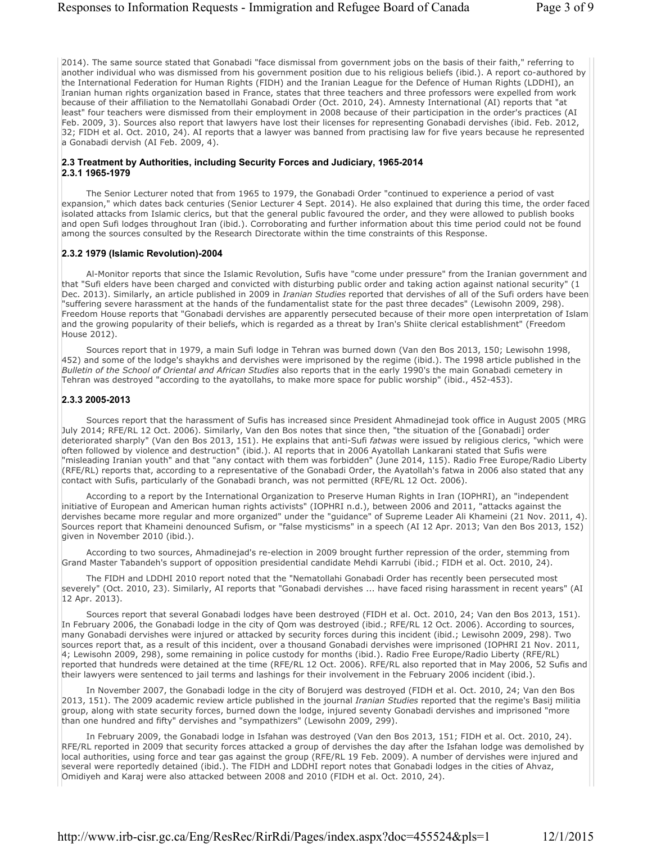2014). The same source stated that Gonabadi "face dismissal from government jobs on the basis of their faith," referring to another individual who was dismissed from his government position due to his religious beliefs (ibid.). A report co-authored by the International Federation for Human Rights (FIDH) and the Iranian League for the Defence of Human Rights (LDDHI), an Iranian human rights organization based in France, states that three teachers and three professors were expelled from work because of their affiliation to the Nematollahi Gonabadi Order (Oct. 2010, 24). Amnesty International (AI) reports that "at least" four teachers were dismissed from their employment in 2008 because of their participation in the order's practices (AI Feb. 2009, 3). Sources also report that lawyers have lost their licenses for representing Gonabadi dervishes (ibid. Feb. 2012, 32; FIDH et al. Oct. 2010, 24). AI reports that a lawyer was banned from practising law for five years because he represented a Gonabadi dervish (AI Feb. 2009, 4).

#### **2.3 Treatment by Authorities, including Security Forces and Judiciary, 1965-2014 2.3.1 1965-1979**

The Senior Lecturer noted that from 1965 to 1979, the Gonabadi Order "continued to experience a period of vast expansion," which dates back centuries (Senior Lecturer 4 Sept. 2014). He also explained that during this time, the order faced isolated attacks from Islamic clerics, but that the general public favoured the order, and they were allowed to publish books and open Sufi lodges throughout Iran (ibid.). Corroborating and further information about this time period could not be found among the sources consulted by the Research Directorate within the time constraints of this Response.

#### **2.3.2 1979 (Islamic Revolution)-2004**

Al-Monitor reports that since the Islamic Revolution, Sufis have "come under pressure" from the Iranian government and that "Sufi elders have been charged and convicted with disturbing public order and taking action against national security" (1 Dec. 2013). Similarly, an article published in 2009 in *Iranian Studies* reported that dervishes of all of the Sufi orders have been "suffering severe harassment at the hands of the fundamentalist state for the past three decades" (Lewisohn 2009, 298). Freedom House reports that "Gonabadi dervishes are apparently persecuted because of their more open interpretation of Islam and the growing popularity of their beliefs, which is regarded as a threat by Iran's Shiite clerical establishment" (Freedom House 2012).

Sources report that in 1979, a main Sufi lodge in Tehran was burned down (Van den Bos 2013, 150; Lewisohn 1998, 452) and some of the lodge's shaykhs and dervishes were imprisoned by the regime (ibid.). The 1998 article published in the *Bulletin of the School of Oriental and African Studies* also reports that in the early 1990's the main Gonabadi cemetery in Tehran was destroyed "according to the ayatollahs, to make more space for public worship" (ibid., 452-453).

#### **2.3.3 2005-2013**

Sources report that the harassment of Sufis has increased since President Ahmadinejad took office in August 2005 (MRG July 2014; RFE/RL 12 Oct. 2006). Similarly, Van den Bos notes that since then, "the situation of the [Gonabadi] order deteriorated sharply" (Van den Bos 2013, 151). He explains that anti-Sufi *fatwas* were issued by religious clerics, "which were often followed by violence and destruction" (ibid.). AI reports that in 2006 Ayatollah Lankarani stated that Sufis were "misleading Iranian youth" and that "any contact with them was forbidden" (June 2014, 115). Radio Free Europe/Radio Liberty (RFE/RL) reports that, according to a representative of the Gonabadi Order, the Ayatollah's fatwa in 2006 also stated that any contact with Sufis, particularly of the Gonabadi branch, was not permitted (RFE/RL 12 Oct. 2006).

According to a report by the International Organization to Preserve Human Rights in Iran (IOPHRI), an "independent initiative of European and American human rights activists" (IOPHRI n.d.), between 2006 and 2011, "attacks against the dervishes became more regular and more organized" under the "guidance" of Supreme Leader Ali Khameini (21 Nov. 2011, 4). Sources report that Khameini denounced Sufism, or "false mysticisms" in a speech (AI 12 Apr. 2013; Van den Bos 2013, 152) given in November 2010 (ibid.).

According to two sources, Ahmadinejad's re-election in 2009 brought further repression of the order, stemming from Grand Master Tabandeh's support of opposition presidential candidate Mehdi Karrubi (ibid.; FIDH et al. Oct. 2010, 24).

The FIDH and LDDHI 2010 report noted that the "Nematollahi Gonabadi Order has recently been persecuted most severely" (Oct. 2010, 23). Similarly, AI reports that "Gonabadi dervishes ... have faced rising harassment in recent years" (AI 12 Apr. 2013).

Sources report that several Gonabadi lodges have been destroyed (FIDH et al. Oct. 2010, 24; Van den Bos 2013, 151). In February 2006, the Gonabadi lodge in the city of Qom was destroyed (ibid.; RFE/RL 12 Oct. 2006). According to sources, many Gonabadi dervishes were injured or attacked by security forces during this incident (ibid.; Lewisohn 2009, 298). Two sources report that, as a result of this incident, over a thousand Gonabadi dervishes were imprisoned (IOPHRI 21 Nov. 2011, 4; Lewisohn 2009, 298), some remaining in police custody for months (ibid.). Radio Free Europe/Radio Liberty (RFE/RL) reported that hundreds were detained at the time (RFE/RL 12 Oct. 2006). RFE/RL also reported that in May 2006, 52 Sufis and their lawyers were sentenced to jail terms and lashings for their involvement in the February 2006 incident (ibid.).

In November 2007, the Gonabadi lodge in the city of Borujerd was destroyed (FIDH et al. Oct. 2010, 24; Van den Bos 2013, 151). The 2009 academic review article published in the journal *Iranian Studies* reported that the regime's Basij militia group, along with state security forces, burned down the lodge, injured seventy Gonabadi dervishes and imprisoned "more than one hundred and fifty" dervishes and "sympathizers" (Lewisohn 2009, 299).

In February 2009, the Gonabadi lodge in Isfahan was destroyed (Van den Bos 2013, 151; FIDH et al. Oct. 2010, 24). RFE/RL reported in 2009 that security forces attacked a group of dervishes the day after the Isfahan lodge was demolished by local authorities, using force and tear gas against the group (RFE/RL 19 Feb. 2009). A number of dervishes were injured and several were reportedly detained (ibid.). The FIDH and LDDHI report notes that Gonabadi lodges in the cities of Ahvaz, Omidiyeh and Karaj were also attacked between 2008 and 2010 (FIDH et al. Oct. 2010, 24).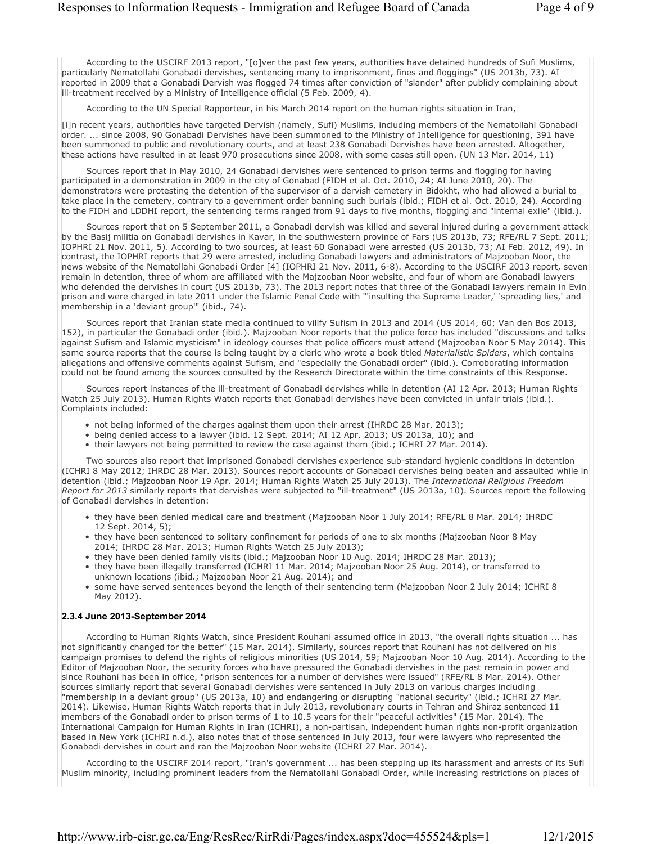According to the USCIRF 2013 report, "[o]ver the past few years, authorities have detained hundreds of Sufi Muslims, particularly Nematollahi Gonabadi dervishes, sentencing many to imprisonment, fines and floggings" (US 2013b, 73). AI reported in 2009 that a Gonabadi Dervish was flogged 74 times after conviction of "slander" after publicly complaining about ill-treatment received by a Ministry of Intelligence official (5 Feb. 2009, 4).

According to the UN Special Rapporteur, in his March 2014 report on the human rights situation in Iran,

[i]n recent years, authorities have targeted Dervish (namely, Sufi) Muslims, including members of the Nematollahi Gonabadi order. ... since 2008, 90 Gonabadi Dervishes have been summoned to the Ministry of Intelligence for questioning, 391 have been summoned to public and revolutionary courts, and at least 238 Gonabadi Dervishes have been arrested. Altogether, these actions have resulted in at least 970 prosecutions since 2008, with some cases still open. (UN 13 Mar. 2014, 11)

Sources report that in May 2010, 24 Gonabadi dervishes were sentenced to prison terms and flogging for having participated in a demonstration in 2009 in the city of Gonabad (FIDH et al. Oct. 2010, 24; AI June 2010, 20). The demonstrators were protesting the detention of the supervisor of a dervish cemetery in Bidokht, who had allowed a burial to take place in the cemetery, contrary to a government order banning such burials (ibid.; FIDH et al. Oct. 2010, 24). According to the FIDH and LDDHI report, the sentencing terms ranged from 91 days to five months, flogging and "internal exile" (ibid.).

Sources report that on 5 September 2011, a Gonabadi dervish was killed and several injured during a government attack by the Basij militia on Gonabadi dervishes in Kavar, in the southwestern province of Fars (US 2013b, 73; RFE/RL 7 Sept. 2011; IOPHRI 21 Nov. 2011, 5). According to two sources, at least 60 Gonabadi were arrested (US 2013b, 73; AI Feb. 2012, 49). In contrast, the IOPHRI reports that 29 were arrested, including Gonabadi lawyers and administrators of Majzooban Noor, the news website of the Nematollahi Gonabadi Order [4] (IOPHRI 21 Nov. 2011, 6-8). According to the USCIRF 2013 report, seven remain in detention, three of whom are affiliated with the Majzooban Noor website, and four of whom are Gonabadi lawyers who defended the dervishes in court (US 2013b, 73). The 2013 report notes that three of the Gonabadi lawyers remain in Evin prison and were charged in late 2011 under the Islamic Penal Code with "'insulting the Supreme Leader,' 'spreading lies,' and membership in a 'deviant group'" (ibid., 74).

Sources report that Iranian state media continued to vilify Sufism in 2013 and 2014 (US 2014, 60; Van den Bos 2013, 152), in particular the Gonabadi order (ibid.). Majzooban Noor reports that the police force has included "discussions and talks against Sufism and Islamic mysticism" in ideology courses that police officers must attend (Majzooban Noor 5 May 2014). This same source reports that the course is being taught by a cleric who wrote a book titled *Materialistic Spiders*, which contains allegations and offensive comments against Sufism, and "especially the Gonabadi order" (ibid.). Corroborating information could not be found among the sources consulted by the Research Directorate within the time constraints of this Response.

Sources report instances of the ill-treatment of Gonabadi dervishes while in detention (AI 12 Apr. 2013; Human Rights Watch 25 July 2013). Human Rights Watch reports that Gonabadi dervishes have been convicted in unfair trials (ibid.). Complaints included:

- not being informed of the charges against them upon their arrest (IHRDC 28 Mar. 2013);
- being denied access to a lawyer (ibid. 12 Sept. 2014; AI 12 Apr. 2013; US 2013a, 10); and
- their lawyers not being permitted to review the case against them (ibid.; ICHRI 27 Mar. 2014).

Two sources also report that imprisoned Gonabadi dervishes experience sub-standard hygienic conditions in detention (ICHRI 8 May 2012; IHRDC 28 Mar. 2013). Sources report accounts of Gonabadi dervishes being beaten and assaulted while in detention (ibid.; Majzooban Noor 19 Apr. 2014; Human Rights Watch 25 July 2013). The *International Religious Freedom Report for 2013* similarly reports that dervishes were subjected to "ill-treatment" (US 2013a, 10). Sources report the following of Gonabadi dervishes in detention:

- they have been denied medical care and treatment (Majzooban Noor 1 July 2014; RFE/RL 8 Mar. 2014; IHRDC 12 Sept. 2014, 5);
- they have been sentenced to solitary confinement for periods of one to six months (Majzooban Noor 8 May 2014; IHRDC 28 Mar. 2013; Human Rights Watch 25 July 2013);
- they have been denied family visits (ibid.; Majzooban Noor 10 Aug. 2014; IHRDC 28 Mar. 2013);
- they have been illegally transferred (ICHRI 11 Mar. 2014; Majzooban Noor 25 Aug. 2014), or transferred to unknown locations (ibid.; Majzooban Noor 21 Aug. 2014); and
- some have served sentences beyond the length of their sentencing term (Majzooban Noor 2 July 2014; ICHRI 8 May 2012).

#### **2.3.4 June 2013-September 2014**

According to Human Rights Watch, since President Rouhani assumed office in 2013, "the overall rights situation ... has not significantly changed for the better" (15 Mar. 2014). Similarly, sources report that Rouhani has not delivered on his campaign promises to defend the rights of religious minorities (US 2014, 59; Majzooban Noor 10 Aug. 2014). According to the Editor of Majzooban Noor, the security forces who have pressured the Gonabadi dervishes in the past remain in power and since Rouhani has been in office, "prison sentences for a number of dervishes were issued" (RFE/RL 8 Mar. 2014). Other sources similarly report that several Gonabadi dervishes were sentenced in July 2013 on various charges including "membership in a deviant group" (US 2013a, 10) and endangering or disrupting "national security" (ibid.; ICHRI 27 Mar. 2014). Likewise, Human Rights Watch reports that in July 2013, revolutionary courts in Tehran and Shiraz sentenced 11 members of the Gonabadi order to prison terms of 1 to 10.5 years for their "peaceful activities" (15 Mar. 2014). The International Campaign for Human Rights in Iran (ICHRI), a non-partisan, independent human rights non-profit organization based in New York (ICHRI n.d.), also notes that of those sentenced in July 2013, four were lawyers who represented the Gonabadi dervishes in court and ran the Majzooban Noor website (ICHRI 27 Mar. 2014).

According to the USCIRF 2014 report, "Iran's government ... has been stepping up its harassment and arrests of its Sufi Muslim minority, including prominent leaders from the Nematollahi Gonabadi Order, while increasing restrictions on places of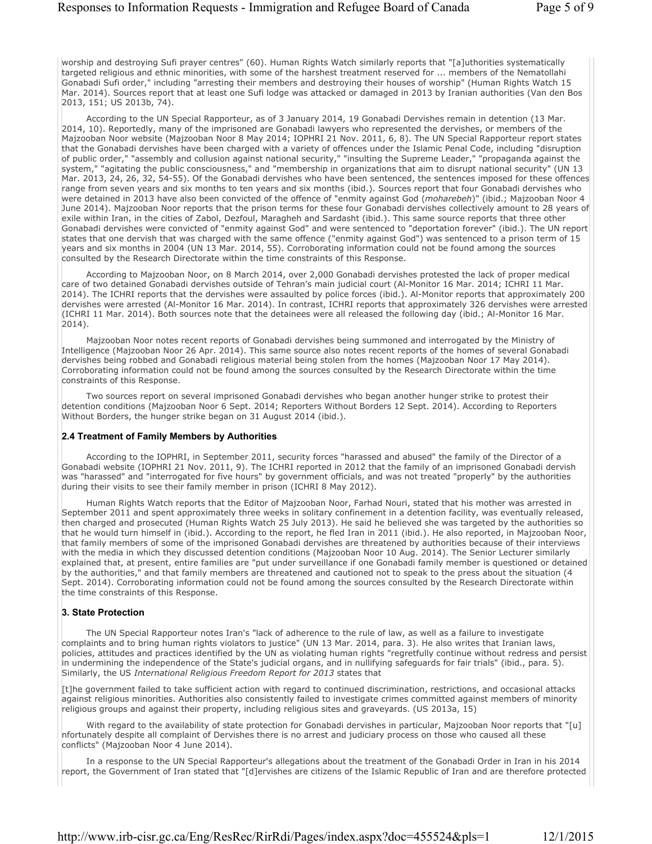worship and destroying Sufi prayer centres" (60). Human Rights Watch similarly reports that "[a]uthorities systematically targeted religious and ethnic minorities, with some of the harshest treatment reserved for ... members of the Nematollahi Gonabadi Sufi order," including "arresting their members and destroying their houses of worship" (Human Rights Watch 15 Mar. 2014). Sources report that at least one Sufi lodge was attacked or damaged in 2013 by Iranian authorities (Van den Bos 2013, 151; US 2013b, 74).

According to the UN Special Rapporteur, as of 3 January 2014, 19 Gonabadi Dervishes remain in detention (13 Mar. 2014, 10). Reportedly, many of the imprisoned are Gonabadi lawyers who represented the dervishes, or members of the Majzooban Noor website (Majzooban Noor 8 May 2014; IOPHRI 21 Nov. 2011, 6, 8). The UN Special Rapporteur report states that the Gonabadi dervishes have been charged with a variety of offences under the Islamic Penal Code, including "disruption of public order," "assembly and collusion against national security," "insulting the Supreme Leader," "propaganda against the system," "agitating the public consciousness," and "membership in organizations that aim to disrupt national security" (UN 13 Mar. 2013, 24, 26, 32, 54-55). Of the Gonabadi dervishes who have been sentenced, the sentences imposed for these offences range from seven years and six months to ten years and six months (ibid.). Sources report that four Gonabadi dervishes who were detained in 2013 have also been convicted of the offence of "enmity against God (*moharebeh*)" (ibid.; Majzooban Noor 4 June 2014). Majzooban Noor reports that the prison terms for these four Gonabadi dervishes collectively amount to 28 years of exile within Iran, in the cities of Zabol, Dezfoul, Maragheh and Sardasht (ibid.). This same source reports that three other Gonabadi dervishes were convicted of "enmity against God" and were sentenced to "deportation forever" (ibid.). The UN report states that one dervish that was charged with the same offence ("enmity against God") was sentenced to a prison term of 15 years and six months in 2004 (UN 13 Mar. 2014, 55). Corroborating information could not be found among the sources consulted by the Research Directorate within the time constraints of this Response.

According to Majzooban Noor, on 8 March 2014, over 2,000 Gonabadi dervishes protested the lack of proper medical care of two detained Gonabadi dervishes outside of Tehran's main judicial court (Al-Monitor 16 Mar. 2014; ICHRI 11 Mar. 2014). The ICHRI reports that the dervishes were assaulted by police forces (ibid.). Al-Monitor reports that approximately 200 dervishes were arrested (Al-Monitor 16 Mar. 2014). In contrast, ICHRI reports that approximately 326 dervishes were arrested (ICHRI 11 Mar. 2014). Both sources note that the detainees were all released the following day (ibid.; Al-Monitor 16 Mar. 2014).

Majzooban Noor notes recent reports of Gonabadi dervishes being summoned and interrogated by the Ministry of Intelligence (Majzooban Noor 26 Apr. 2014). This same source also notes recent reports of the homes of several Gonabadi dervishes being robbed and Gonabadi religious material being stolen from the homes (Majzooban Noor 17 May 2014). Corroborating information could not be found among the sources consulted by the Research Directorate within the time constraints of this Response.

Two sources report on several imprisoned Gonabadi dervishes who began another hunger strike to protest their detention conditions (Majzooban Noor 6 Sept. 2014; Reporters Without Borders 12 Sept. 2014). According to Reporters Without Borders, the hunger strike began on 31 August 2014 (ibid.).

#### **2.4 Treatment of Family Members by Authorities**

According to the IOPHRI, in September 2011, security forces "harassed and abused" the family of the Director of a Gonabadi website (IOPHRI 21 Nov. 2011, 9). The ICHRI reported in 2012 that the family of an imprisoned Gonabadi dervish was "harassed" and "interrogated for five hours" by government officials, and was not treated "properly" by the authorities during their visits to see their family member in prison (ICHRI 8 May 2012).

Human Rights Watch reports that the Editor of Majzooban Noor, Farhad Nouri, stated that his mother was arrested in September 2011 and spent approximately three weeks in solitary confinement in a detention facility, was eventually released, then charged and prosecuted (Human Rights Watch 25 July 2013). He said he believed she was targeted by the authorities so that he would turn himself in (ibid.). According to the report, he fled Iran in 2011 (ibid.). He also reported, in Majzooban Noor, that family members of some of the imprisoned Gonabadi dervishes are threatened by authorities because of their interviews with the media in which they discussed detention conditions (Majzooban Noor 10 Aug. 2014). The Senior Lecturer similarly explained that, at present, entire families are "put under surveillance if one Gonabadi family member is questioned or detained by the authorities," and that family members are threatened and cautioned not to speak to the press about the situation (4 Sept. 2014). Corroborating information could not be found among the sources consulted by the Research Directorate within the time constraints of this Response.

#### **3. State Protection**

The UN Special Rapporteur notes Iran's "lack of adherence to the rule of law, as well as a failure to investigate complaints and to bring human rights violators to justice" (UN 13 Mar. 2014, para. 3). He also writes that Iranian laws, policies, attitudes and practices identified by the UN as violating human rights "regretfully continue without redress and persist in undermining the independence of the State's judicial organs, and in nullifying safeguards for fair trials" (ibid., para. 5). Similarly, the US *International Religious Freedom Report for 2013* states that

[t]he government failed to take sufficient action with regard to continued discrimination, restrictions, and occasional attacks against religious minorities. Authorities also consistently failed to investigate crimes committed against members of minority religious groups and against their property, including religious sites and graveyards. (US 2013a, 15)

With regard to the availability of state protection for Gonabadi dervishes in particular, Majzooban Noor reports that "[u] nfortunately despite all complaint of Dervishes there is no arrest and judiciary process on those who caused all these conflicts" (Majzooban Noor 4 June 2014).

In a response to the UN Special Rapporteur's allegations about the treatment of the Gonabadi Order in Iran in his 2014 report, the Government of Iran stated that "[d]ervishes are citizens of the Islamic Republic of Iran and are therefore protected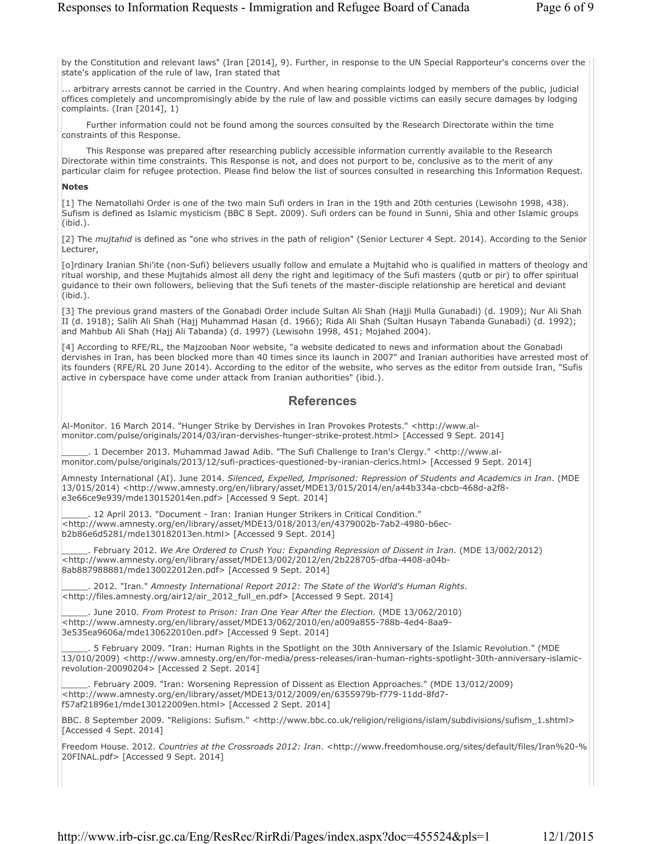by the Constitution and relevant laws" (Iran [2014], 9). Further, in response to the UN Special Rapporteur's concerns over the state's application of the rule of law, Iran stated that

... arbitrary arrests cannot be carried in the Country. And when hearing complaints lodged by members of the public, judicial offices completely and uncompromisingly abide by the rule of law and possible victims can easily secure damages by lodging complaints. (Iran [2014], 1)

Further information could not be found among the sources consulted by the Research Directorate within the time constraints of this Response.

This Response was prepared after researching publicly accessible information currently available to the Research Directorate within time constraints. This Response is not, and does not purport to be, conclusive as to the merit of any particular claim for refugee protection. Please find below the list of sources consulted in researching this Information Request.

#### **Notes**

[1] The Nematollahi Order is one of the two main Sufi orders in Iran in the 19th and 20th centuries (Lewisohn 1998, 438). Sufism is defined as Islamic mysticism (BBC 8 Sept. 2009). Sufi orders can be found in Sunni, Shia and other Islamic groups (ibid.).

[2] The *mujtahid* is defined as "one who strives in the path of religion" (Senior Lecturer 4 Sept. 2014). According to the Senior Lecturer,

[o]rdinary Iranian Shi'ite (non-Sufi) believers usually follow and emulate a Mujtahid who is qualified in matters of theology and ritual worship, and these Mujtahids almost all deny the right and legitimacy of the Sufi masters (qutb or pir) to offer spiritual guidance to their own followers, believing that the Sufi tenets of the master-disciple relationship are heretical and deviant (ibid.).

[3] The previous grand masters of the Gonabadi Order include Sultan Ali Shah (Hajji Mulla Gunabadi) (d. 1909); Nur Ali Shah II (d. 1918); Salih Ali Shah (Hajj Muhammad Hasan (d. 1966); Rida Ali Shah (Sultan Husayn Tabanda Gunabadi) (d. 1992); and Mahbub Ali Shah (Hajj Ali Tabanda) (d. 1997) (Lewisohn 1998, 451; Mojahed 2004).

[4] According to RFE/RL, the Majzooban Noor website, "a website dedicated to news and information about the Gonabadi dervishes in Iran, has been blocked more than 40 times since its launch in 2007" and Iranian authorities have arrested most of its founders (RFE/RL 20 June 2014). According to the editor of the website, who serves as the editor from outside Iran, "Sufis active in cyberspace have come under attack from Iranian authorities" (ibid.).

### **References**

Al-Monitor. 16 March 2014. "Hunger Strike by Dervishes in Iran Provokes Protests." <http://www.almonitor.com/pulse/originals/2014/03/iran-dervishes-hunger-strike-protest.html> [Accessed 9 Sept. 2014]

\_\_\_\_\_. 1 December 2013. Muhammad Jawad Adib. "The Sufi Challenge to Iran's Clergy." <http://www.almonitor.com/pulse/originals/2013/12/sufi-practices-questioned-by-iranian-clerics.html> [Accessed 9 Sept. 2014]

Amnesty International (AI). June 2014. *Silenced, Expelled, Imprisoned: Repression of Students and Academics in Iran*. (MDE 13/015/2014) <http://www.amnesty.org/en/library/asset/MDE13/015/2014/en/a44b334a-cbcb-468d-a2f8 e3e66ce9e939/mde130152014en.pdf> [Accessed 9 Sept. 2014]

\_\_\_\_\_. 12 April 2013. "Document - Iran: Iranian Hunger Strikers in Critical Condition." <http://www.amnesty.org/en/library/asset/MDE13/018/2013/en/4379002b-7ab2-4980-b6ecb2b86e6d5281/mde130182013en.html> [Accessed 9 Sept. 2014]

\_\_\_\_\_. February 2012. *We Are Ordered to Crush You: Expanding Repression of Dissent in Iran*. (MDE 13/002/2012) <http://www.amnesty.org/en/library/asset/MDE13/002/2012/en/2b228705-dfba-4408-a04b-8ab887988881/mde130022012en.pdf> [Accessed 9 Sept. 2014]

\_\_\_\_\_. 2012. "Iran." *Amnesty International Report 2012: The State of the World's Human Rights*. <http://files.amnesty.org/air12/air\_2012\_full\_en.pdf> [Accessed 9 Sept. 2014]

\_\_\_\_\_. June 2010. *From Protest to Prison: Iran One Year After the Election.* (MDE 13/062/2010) <http://www.amnesty.org/en/library/asset/MDE13/062/2010/en/a009a855-788b-4ed4-8aa9- 3e535ea9606a/mde130622010en.pdf> [Accessed 9 Sept. 2014]

\_\_\_\_\_. 5 February 2009. "Iran: Human Rights in the Spotlight on the 30th Anniversary of the Islamic Revolution." (MDE 13/010/2009) <http://www.amnesty.org/en/for-media/press-releases/iran-human-rights-spotlight-30th-anniversary-islamicrevolution-20090204> [Accessed 2 Sept. 2014]

\_\_\_\_\_. February 2009. "Iran: Worsening Repression of Dissent as Election Approaches." (MDE 13/012/2009) <http://www.amnesty.org/en/library/asset/MDE13/012/2009/en/6355979b-f779-11dd-8fd7 f57af21896e1/mde130122009en.html> [Accessed 2 Sept. 2014]

BBC. 8 September 2009. "Religions: Sufism." <http://www.bbc.co.uk/religion/religions/islam/subdivisions/sufism\_1.shtml> [Accessed 4 Sept. 2014]

Freedom House. 2012. *Countries at the Crossroads 2012: Iran*. <http://www.freedomhouse.org/sites/default/files/Iran%20-% 20FINAL.pdf> [Accessed 9 Sept. 2014]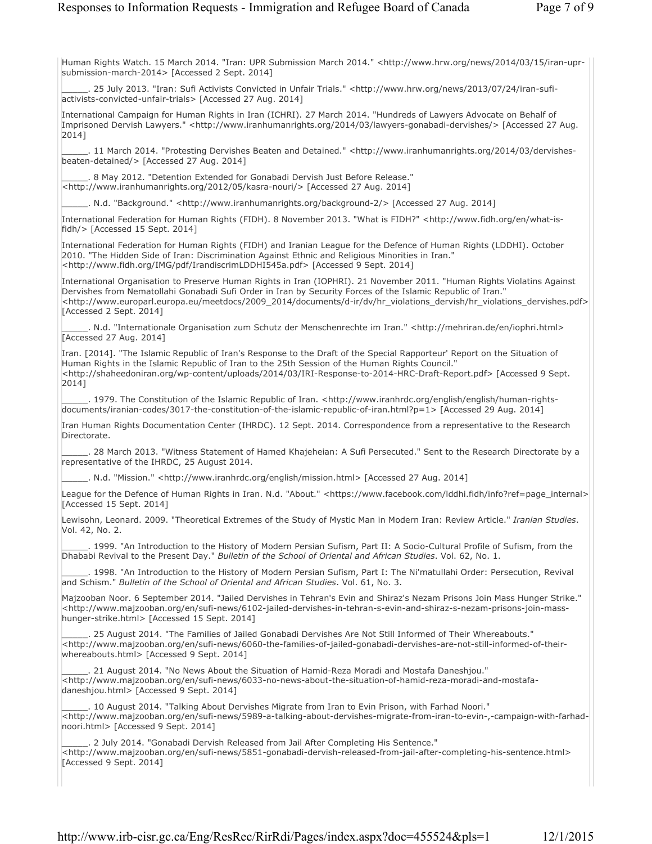Human Rights Watch. 15 March 2014. "Iran: UPR Submission March 2014." <http://www.hrw.org/news/2014/03/15/iran-uprsubmission-march-2014> [Accessed 2 Sept. 2014]

\_\_\_\_\_. 25 July 2013. "Iran: Sufi Activists Convicted in Unfair Trials." <http://www.hrw.org/news/2013/07/24/iran-sufiactivists-convicted-unfair-trials> [Accessed 27 Aug. 2014]

International Campaign for Human Rights in Iran (ICHRI). 27 March 2014. "Hundreds of Lawyers Advocate on Behalf of Imprisoned Dervish Lawyers." <http://www.iranhumanrights.org/2014/03/lawyers-gonabadi-dervishes/> [Accessed 27 Aug. 2014]

\_\_\_\_\_. 11 March 2014. "Protesting Dervishes Beaten and Detained." <http://www.iranhumanrights.org/2014/03/dervishesbeaten-detained/> [Accessed 27 Aug. 2014]

\_\_\_\_\_. 8 May 2012. "Detention Extended for Gonabadi Dervish Just Before Release." <http://www.iranhumanrights.org/2012/05/kasra-nouri/> [Accessed 27 Aug. 2014]

\_\_\_\_\_. N.d. "Background." <http://www.iranhumanrights.org/background-2/> [Accessed 27 Aug. 2014]

International Federation for Human Rights (FIDH). 8 November 2013. "What is FIDH?" <http://www.fidh.org/en/what-isfidh/> [Accessed 15 Sept. 2014]

International Federation for Human Rights (FIDH) and Iranian League for the Defence of Human Rights (LDDHI). October 2010. "The Hidden Side of Iran: Discrimination Against Ethnic and Religious Minorities in Iran." <http://www.fidh.org/IMG/pdf/IrandiscrimLDDHI545a.pdf> [Accessed 9 Sept. 2014]

International Organisation to Preserve Human Rights in Iran (IOPHRI). 21 November 2011. "Human Rights Violatins Against Dervishes from Nematollahi Gonabadi Sufi Order in Iran by Security Forces of the Islamic Republic of Iran." <http://www.europarl.europa.eu/meetdocs/2009\_2014/documents/d-ir/dv/hr\_violations\_dervish/hr\_violations\_dervishes.pdf> [Accessed 2 Sept. 2014]

\_\_\_\_\_. N.d. "Internationale Organisation zum Schutz der Menschenrechte im Iran." <http://mehriran.de/en/iophri.html> [Accessed 27 Aug. 2014]

Iran. [2014]. "The Islamic Republic of Iran's Response to the Draft of the Special Rapporteur' Report on the Situation of Human Rights in the Islamic Republic of Iran to the 25th Session of the Human Rights Council." <http://shaheedoniran.org/wp-content/uploads/2014/03/IRI-Response-to-2014-HRC-Draft-Report.pdf> [Accessed 9 Sept. 2014]

\_\_\_\_\_. 1979. The Constitution of the Islamic Republic of Iran. <http://www.iranhrdc.org/english/english/human-rightsdocuments/iranian-codes/3017-the-constitution-of-the-islamic-republic-of-iran.html?p=1> [Accessed 29 Aug. 2014]

Iran Human Rights Documentation Center (IHRDC). 12 Sept. 2014. Correspondence from a representative to the Research Directorate.

\_\_\_\_\_. 28 March 2013. "Witness Statement of Hamed Khajeheian: A Sufi Persecuted." Sent to the Research Directorate by a representative of the IHRDC, 25 August 2014.

\_\_\_\_\_. N.d. "Mission." <http://www.iranhrdc.org/english/mission.html> [Accessed 27 Aug. 2014]

League for the Defence of Human Rights in Iran. N.d. "About." <https://www.facebook.com/lddhi.fidh/info?ref=page\_internal> [Accessed 15 Sept. 2014]

Lewisohn, Leonard. 2009. "Theoretical Extremes of the Study of Mystic Man in Modern Iran: Review Article." *Iranian Studies*. Vol. 42, No. 2.

\_\_\_\_\_. 1999. "An Introduction to the History of Modern Persian Sufism, Part II: A Socio-Cultural Profile of Sufism, from the Dhababi Revival to the Present Day." *Bulletin of the School of Oriental and African Studies*. Vol. 62, No. 1.

\_\_\_\_\_. 1998. "An Introduction to the History of Modern Persian Sufism, Part I: The Ni'matullahi Order: Persecution, Revival and Schism." *Bulletin of the School of Oriental and African Studies*. Vol. 61, No. 3.

Majzooban Noor. 6 September 2014. "Jailed Dervishes in Tehran's Evin and Shiraz's Nezam Prisons Join Mass Hunger Strike." <http://www.majzooban.org/en/sufi-news/6102-jailed-dervishes-in-tehran-s-evin-and-shiraz-s-nezam-prisons-join-masshunger-strike.html> [Accessed 15 Sept. 2014]

\_\_\_\_\_. 25 August 2014. "The Families of Jailed Gonabadi Dervishes Are Not Still Informed of Their Whereabouts." <http://www.majzooban.org/en/sufi-news/6060-the-families-of-jailed-gonabadi-dervishes-are-not-still-informed-of-theirwhereabouts.html> [Accessed 9 Sept. 2014]

\_\_\_\_\_. 21 August 2014. "No News About the Situation of Hamid-Reza Moradi and Mostafa Daneshjou." <http://www.majzooban.org/en/sufi-news/6033-no-news-about-the-situation-of-hamid-reza-moradi-and-mostafadaneshjou.html> [Accessed 9 Sept. 2014]

\_\_\_\_\_. 10 August 2014. "Talking About Dervishes Migrate from Iran to Evin Prison, with Farhad Noori." <http://www.majzooban.org/en/sufi-news/5989-a-talking-about-dervishes-migrate-from-iran-to-evin-,-campaign-with-farhadnoori.html> [Accessed 9 Sept. 2014]

2 July 2014. "Gonabadi Dervish Released from Jail After Completing His Sentence." <http://www.majzooban.org/en/sufi-news/5851-gonabadi-dervish-released-from-jail-after-completing-his-sentence.html> [Accessed 9 Sept. 2014]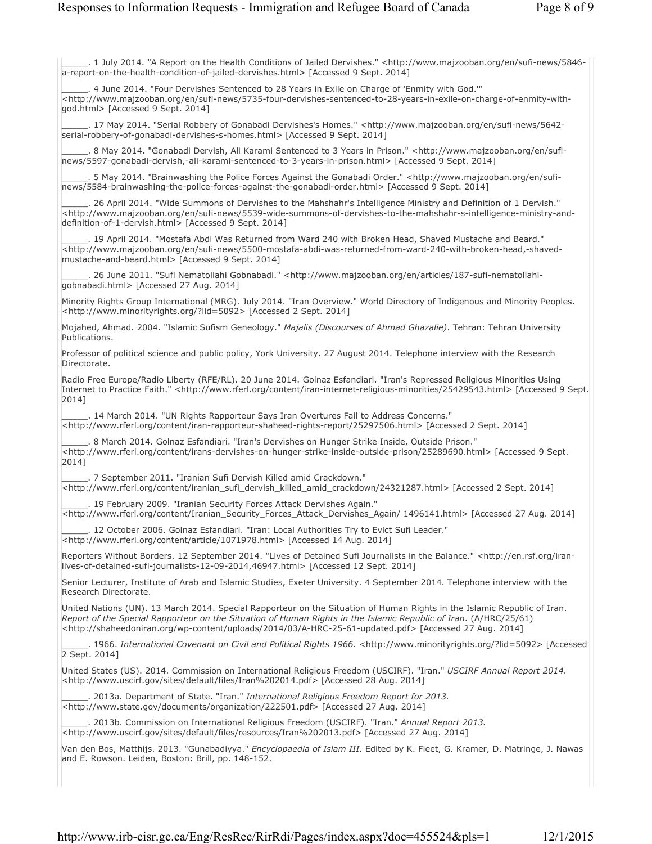\_\_\_\_\_. 1 July 2014. "A Report on the Health Conditions of Jailed Dervishes." <http://www.majzooban.org/en/sufi-news/5846 a-report-on-the-health-condition-of-jailed-dervishes.html> [Accessed 9 Sept. 2014]

4 June 2014. "Four Dervishes Sentenced to 28 Years in Exile on Charge of 'Enmity with God.'" <http://www.majzooban.org/en/sufi-news/5735-four-dervishes-sentenced-to-28-years-in-exile-on-charge-of-enmity-withgod.html> [Accessed 9 Sept. 2014]

\_\_\_\_\_. 17 May 2014. "Serial Robbery of Gonabadi Dervishes's Homes." <http://www.majzooban.org/en/sufi-news/5642 serial-robbery-of-gonabadi-dervishes-s-homes.html> [Accessed 9 Sept. 2014]

8 May 2014. "Gonabadi Dervish, Ali Karami Sentenced to 3 Years in Prison." <http://www.majzooban.org/en/sufinews/5597-gonabadi-dervish,-ali-karami-sentenced-to-3-years-in-prison.html> [Accessed 9 Sept. 2014]

. 5 May 2014. "Brainwashing the Police Forces Against the Gonabadi Order." <http://www.majzooban.org/en/sufinews/5584-brainwashing-the-police-forces-against-the-gonabadi-order.html> [Accessed 9 Sept. 2014]

\_\_\_\_\_. 26 April 2014. "Wide Summons of Dervishes to the Mahshahr's Intelligence Ministry and Definition of 1 Dervish." <http://www.majzooban.org/en/sufi-news/5539-wide-summons-of-dervishes-to-the-mahshahr-s-intelligence-ministry-anddefinition-of-1-dervish.html> [Accessed 9 Sept. 2014]

\_\_\_\_\_. 19 April 2014. "Mostafa Abdi Was Returned from Ward 240 with Broken Head, Shaved Mustache and Beard." <http://www.majzooban.org/en/sufi-news/5500-mostafa-abdi-was-returned-from-ward-240-with-broken-head,-shavedmustache-and-beard.html> [Accessed 9 Sept. 2014]

. 26 June 2011. "Sufi Nematollahi Gobnabadi." <http://www.majzooban.org/en/articles/187-sufi-nematollahigobnabadi.html> [Accessed 27 Aug. 2014]

Minority Rights Group International (MRG). July 2014. "Iran Overview." World Directory of Indigenous and Minority Peoples. <http://www.minorityrights.org/?lid=5092> [Accessed 2 Sept. 2014]

Mojahed, Ahmad. 2004. "Islamic Sufism Geneology." *Majalis (Discourses of Ahmad Ghazalie)*. Tehran: Tehran University Publications.

Professor of political science and public policy, York University. 27 August 2014. Telephone interview with the Research Directorate.

Radio Free Europe/Radio Liberty (RFE/RL). 20 June 2014. Golnaz Esfandiari. "Iran's Repressed Religious Minorities Using Internet to Practice Faith." <http://www.rferl.org/content/iran-internet-religious-minorities/25429543.html> [Accessed 9 Sept. 2014]

\_\_\_\_\_. 14 March 2014. "UN Rights Rapporteur Says Iran Overtures Fail to Address Concerns." <http://www.rferl.org/content/iran-rapporteur-shaheed-rights-report/25297506.html> [Accessed 2 Sept. 2014]

\_\_\_\_\_. 8 March 2014. Golnaz Esfandiari. "Iran's Dervishes on Hunger Strike Inside, Outside Prison." <http://www.rferl.org/content/irans-dervishes-on-hunger-strike-inside-outside-prison/25289690.html> [Accessed 9 Sept. 2014]

\_\_\_\_\_. 7 September 2011. "Iranian Sufi Dervish Killed amid Crackdown." <http://www.rferl.org/content/iranian\_sufi\_dervish\_killed\_amid\_crackdown/24321287.html> [Accessed 2 Sept. 2014]

\_\_\_\_\_. 19 February 2009. "Iranian Security Forces Attack Dervishes Again." <http://www.rferl.org/content/Iranian\_Security\_Forces\_Attack\_Dervishes\_Again/ 1496141.html> [Accessed 27 Aug. 2014]

\_\_\_\_\_. 12 October 2006. Golnaz Esfandiari. "Iran: Local Authorities Try to Evict Sufi Leader." <http://www.rferl.org/content/article/1071978.html> [Accessed 14 Aug. 2014]

Reporters Without Borders. 12 September 2014. "Lives of Detained Sufi Journalists in the Balance." <http://en.rsf.org/iranlives-of-detained-sufi-journalists-12-09-2014,46947.html> [Accessed 12 Sept. 2014]

Senior Lecturer, Institute of Arab and Islamic Studies, Exeter University. 4 September 2014. Telephone interview with the Research Directorate.

United Nations (UN). 13 March 2014. Special Rapporteur on the Situation of Human Rights in the Islamic Republic of Iran. *Report of the Special Rapporteur on the Situation of Human Rights in the Islamic Republic of Iran*. (A/HRC/25/61) <http://shaheedoniran.org/wp-content/uploads/2014/03/A-HRC-25-61-updated.pdf> [Accessed 27 Aug. 2014]

\_\_\_\_\_. 1966. *International Covenant on Civil and Political Rights 1966*. <http://www.minorityrights.org/?lid=5092> [Accessed 2 Sept. 2014]

United States (US). 2014. Commission on International Religious Freedom (USCIRF). "Iran." *USCIRF Annual Report 2014*. <http://www.uscirf.gov/sites/default/files/Iran%202014.pdf> [Accessed 28 Aug. 2014]

\_\_\_\_\_. 2013a. Department of State. "Iran." *International Religious Freedom Report for 2013.*  <http://www.state.gov/documents/organization/222501.pdf> [Accessed 27 Aug. 2014]

\_\_\_\_\_. 2013b. Commission on International Religious Freedom (USCIRF). "Iran." *Annual Report 2013.*  <http://www.uscirf.gov/sites/default/files/resources/Iran%202013.pdf> [Accessed 27 Aug. 2014]

Van den Bos, Matthijs. 2013. "Gunabadiyya." *Encyclopaedia of Islam III*. Edited by K. Fleet, G. Kramer, D. Matringe, J. Nawas and E. Rowson. Leiden, Boston: Brill, pp. 148-152.